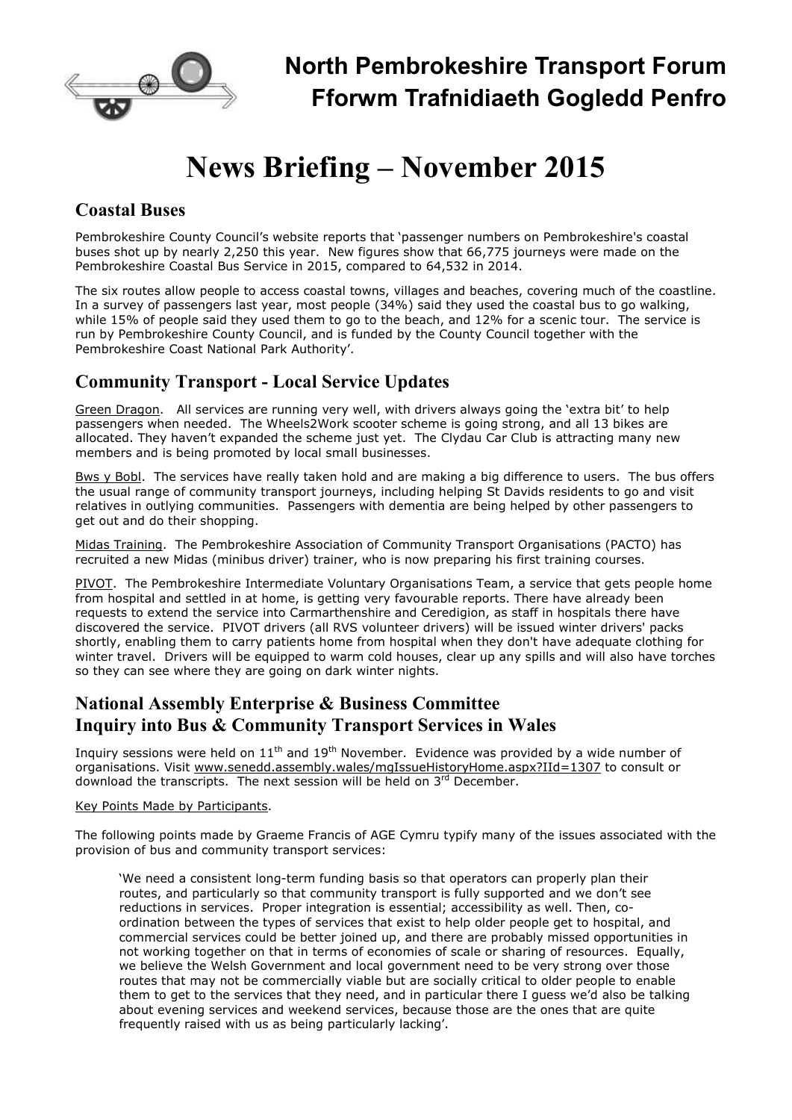

# **News Briefing – November 2015**

### **Coastal Buses**

Pembrokeshire County Council's website reports that 'passenger numbers on Pembrokeshire's coastal buses shot up by nearly 2,250 this year. New figures show that 66,775 journeys were made on the Pembrokeshire Coastal Bus Service in 2015, compared to 64,532 in 2014.

The six routes allow people to access coastal towns, villages and beaches, covering much of the coastline. In a survey of passengers last year, most people (34%) said they used the coastal bus to go walking, while 15% of people said they used them to go to the beach, and 12% for a scenic tour. The service is run by Pembrokeshire County Council, and is funded by the County Council together with the Pembrokeshire Coast National Park Authority'.

## **Community Transport - Local Service Updates**

Green Dragon. All services are running very well, with drivers always going the 'extra bit' to help passengers when needed. The Wheels2Work scooter scheme is going strong, and all 13 bikes are allocated. They haven't expanded the scheme just yet. The Clydau Car Club is attracting many new members and is being promoted by local small businesses.

Bws y Bobl. The services have really taken hold and are making a big difference to users. The bus offers the usual range of community transport journeys, including helping St Davids residents to go and visit relatives in outlying communities. Passengers with dementia are being helped by other passengers to get out and do their shopping.

Midas Training. The Pembrokeshire Association of Community Transport Organisations (PACTO) has recruited a new Midas (minibus driver) trainer, who is now preparing his first training courses.

PIVOT. The Pembrokeshire Intermediate Voluntary Organisations Team, a service that gets people home from hospital and settled in at home, is getting very favourable reports. There have already been requests to extend the service into Carmarthenshire and Ceredigion, as staff in hospitals there have discovered the service. PIVOT drivers (all RVS volunteer drivers) will be issued winter drivers' packs shortly, enabling them to carry patients home from hospital when they don't have adequate clothing for winter travel. Drivers will be equipped to warm cold houses, clear up any spills and will also have torches so they can see where they are going on dark winter nights.

### **National Assembly Enterprise & Business Committee Inquiry into Bus & Community Transport Services in Wales**

Inquiry sessions were held on  $11<sup>th</sup>$  and  $19<sup>th</sup>$  November. Evidence was provided by a wide number of organisations. Visit www.senedd.assembly.wales/mgIssueHistoryHome.aspx?IId=1307 to consult or download the transcripts. The next session will be held on 3<sup>rd</sup> December.

#### Key Points Made by Participants.

The following points made by Graeme Francis of AGE Cymru typify many of the issues associated with the provision of bus and community transport services:

'We need a consistent long-term funding basis so that operators can properly plan their routes, and particularly so that community transport is fully supported and we don't see reductions in services. Proper integration is essential; accessibility as well. Then, coordination between the types of services that exist to help older people get to hospital, and commercial services could be better joined up, and there are probably missed opportunities in not working together on that in terms of economies of scale or sharing of resources. Equally, we believe the Welsh Government and local government need to be very strong over those routes that may not be commercially viable but are socially critical to older people to enable them to get to the services that they need, and in particular there I guess we'd also be talking about evening services and weekend services, because those are the ones that are quite frequently raised with us as being particularly lacking'.